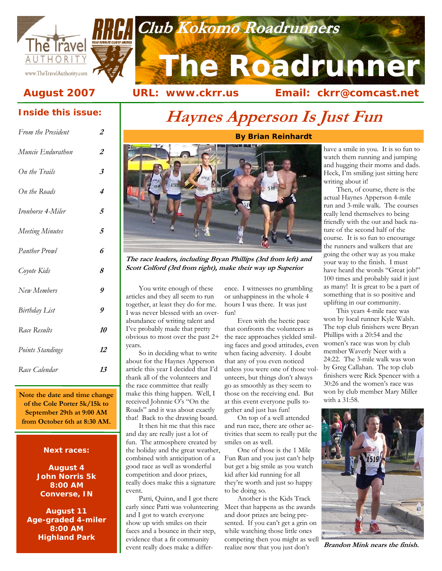



# **The Roadrunner Club Kokomo Roadrunners Club Club Kokomo Roadrunners**

August 2007 URL: www.ckrr.us Email: ckrr@comcast.net

### **Inside this issue:**

| From the President   | 2         |
|----------------------|-----------|
| Muncie Endurathon    | 2         |
| On the Trails        | 3         |
| On the Roads         | 4         |
| Ironhorse 4-Miler    | 5         |
| Meeting Minutes      | 5         |
| Panther Prowl        | 6         |
| Coyote Kids          | 8         |
| New Members          | 9         |
| <b>Birthday List</b> | 9         |
| Race Results         | <i>10</i> |
| Points Standings     | 12        |
| Race Calendar        | 13        |

**Note the date and time change of the Cole Porter 5k/15k to September 29th at 9:00 AM from October 6th at 8:30 AM.** 

### **Next races:**

**August 4 John Norris 5k 8:00 AM Converse, IN** 

**August 11 Age-graded 4-miler 8:00 AM Highland Park** 

## **Haynes Apperson Is Just Fun**



**URL: www.ckrr.us** 

**The race leaders, including Bryan Phillips (3rd from left) and Scott Colford (3rd from right), make their way up Superior** 

You write enough of these articles and they all seem to run together, at least they do for me. I was never blessed with an overabundance of writing talent and I've probably made that pretty obvious to most over the past 2+ years.

So in deciding what to write about for the Haynes Apperson article this year I decided that I'd thank all of the volunteers and the race committee that really make this thing happen. Well, I received Johnnie O's "On the Roads" and it was about exactly that! Back to the drawing board.

It then hit me that this race and day are really just a lot of fun. The atmosphere created by the holiday and the great weather, combined with anticipation of a good race as well as wonderful competition and door prizes, really does make this a signature event.

Patti, Quinn, and I got there early since Patti was volunteering and I got to watch everyone show up with smiles on their faces and a bounce in their step, evidence that a fit community event really does make a difference. I witnesses no grumbling or unhappiness in the whole 4 hours I was there. It was just fun!

Even with the hectic pace that confronts the volunteers as the race approaches yielded smiling faces and good attitudes, even when facing adversity. I doubt that any of you even noticed unless you were one of those volunteers, but things don't always go as smoothly as they seem to those on the receiving end. But at this event everyone pulls together and just has fun!

On top of a well attended and run race, there are other activities that seem to really put the smiles on as well.

One of those is the 1 Mile Fun Run and you just can't help but get a big smile as you watch kid after kid running for all they're worth and just so happy to be doing so.

Another is the Kids Track Meet that happens as the awards and door prizes are being presented. If you can't get a grin on while watching those little ones competing then you might as well realize now that you just don't

have a smile in you. It is so fun to watch them running and jumping and hugging their moms and dads. Heck, I'm smiling just sitting here writing about it!

Then, of course, there is the actual Haynes Apperson 4-mile run and 3-mile walk. The courses really lend themselves to being friendly with the out and back nature of the second half of the course. It is so fun to encourage the runners and walkers that are going the other way as you make your way to the finish. I must have heard the words "Great job!" 100 times and probably said it just as many! It is great to be a part of something that is so positive and uplifting in our community.

This years 4-mile race was won by local runner Kyle Walsh. The top club finishers were Bryan Phillips with a 20:54 and the women's race was won by club member Waverly Neer with a 24:22. The 3-mile walk was won by Greg Callahan. The top club finishers were Rick Spencer with a 30:26 and the women's race was won by club member Mary Miller with a 31:58.



**Brandon Mink nears the finish.** 

### **By Brian Reinhardt**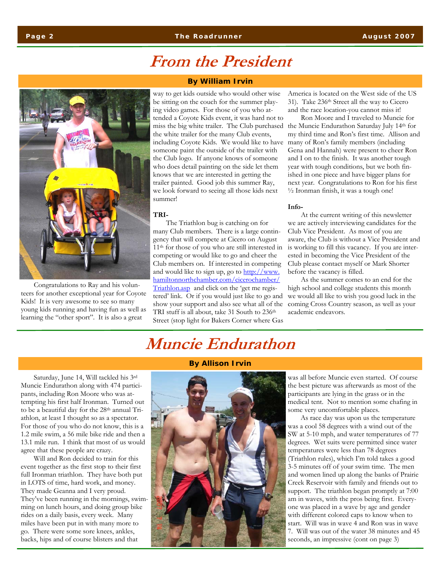Congratulations to Ray and his volunteers for another exceptional year for Coyote Kids! It is very awesome to see so many young kids running and having fun as well as learning the "other sport". It is also a great

### **From the President**

#### **By William Irvin**

way to get kids outside who would other wise be sitting on the couch for the summer playing video games. For those of you who attended a Coyote Kids event, it was hard not to miss the big white trailer. The Club purchased the Muncie Endurathon Saturday July 14th for the white trailer for the many Club events, including Coyote Kids. We would like to have someone paint the outside of the trailer with the Club logo. If anyone knows of someone who does detail painting on the side let them knows that we are interested in getting the trailer painted. Good job this summer Ray, we look forward to seeing all those kids next summer!

#### **TRI-**

The Triathlon bug is catching on for many Club members. There is a large contingency that will compete at Cicero on August 11th for those of you who are still interested in competing or would like to go and cheer the Club members on. If interested in competing and would like to sign up, go to http://www. hamiltonnorthchamber.com/cicerochamber/ Triathlon.asp and click on the 'get me registered' link. Or if you would just like to go and show your support and also see what all of the TRI stuff is all about, take 31 South to 236<sup>th</sup> Street (stop light for Bakers Corner where Gas

America is located on the West side of the US 31). Take 236th Street all the way to Cicero and the race location-you cannot miss it!

Ron Moore and I traveled to Muncie for my third time and Ron's first time. Allison and many of Ron's family members (including Gena and Hannah) were present to cheer Ron and I on to the finish. It was another tough year with tough conditions, but we both finished in one piece and have bigger plans for next year. Congratulations to Ron for his first ½ Ironman finish, it was a tough one!

#### **Info-**

At the current writing of this newsletter we are actively interviewing candidates for the Club Vice President. As most of you are aware, the Club is without a Vice President and is working to fill this vacancy. If you are interested in becoming the Vice President of the Club please contact myself or Mark Shorter before the vacancy is filled.

As the summer comes to an end for the high school and college students this month we would all like to wish you good luck in the coming Cross Country season, as well as your academic endeavors.

### **Muncie Endurathon**

Saturday, June 14, Will tackled his 3rd Muncie Endurathon along with 474 participants, including Ron Moore who was attempting his first half Ironman. Turned out to be a beautiful day for the 28<sup>th</sup> annual Triathlon, at least I thought so as a spectator. For those of you who do not know, this is a 1.2 mile swim, a 56 mile bike ride and then a 13.1 mile run. I think that most of us would agree that these people are crazy.

Will and Ron decided to train for this event together as the first stop to their first full Ironman triathlon. They have both put in LOTS of time, hard work, and money. They made Geanna and I very proud. They've been running in the mornings, swimming on lunch hours, and doing group bike rides on a daily basis, every week. Many miles have been put in with many more to go. There were some sore knees, ankles, backs, hips and of course blisters and that

#### **By Allison Irvin**



was all before Muncie even started. Of course the best picture was afterwards as most of the participants are lying in the grass or in the medical tent. Not to mention some chafing in some very uncomfortable places.

As race day was upon us the temperature was a cool 58 degrees with a wind out of the SW at 5-10 mph, and water temperatures of 77 degrees. Wet suits were permitted since water temperatures were less than 78 degrees (Triathlon rules), which I'm told takes a good 3-5 minutes off of your swim time. The men and women lined up along the banks of Prairie Creek Reservoir with family and friends out to support. The triathlon began promptly at 7:00 am in waves, with the pros being first. Everyone was placed in a wave by age and gender with different colored caps to know when to start. Will was in wave 4 and Ron was in wave 7. Will was out of the water 38 minutes and 45 seconds, an impressive (cont on page 3)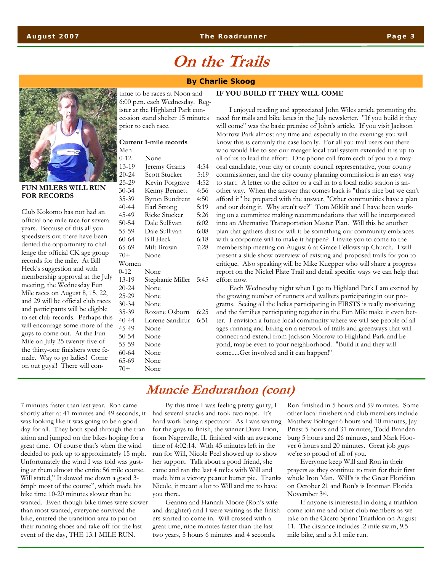### **On the Trails**

#### **By Charlie Skoog**



**FUN MILERS WILL RUN FOR RECORDS** 

Club Kokomo has not had an official one mile race for several years. Because of this all you speedsters out there have been denied the opportunity to challenge the official CK age group records for the mile. At Bill Heck's suggestion and with membership approval at the July meeting, the Wednesday Fun Mile races on August 8, 15, 22, and 29 will be official club races and participants will be eligible to set club records. Perhaps this will encourage some more of the guys to come out. At the Fun Mile on July 25 twenty-five of the thirty-one finishers were female. Way to go ladies! Come on out guys!! There will continue to be races at Noon and 6:00 p.m. each Wednesday. Register at the Highland Park concession stand shelter 15 minutes prior to each race.

#### **Current 1-mile records**  Men

| - 11 - 11 |                       |      |
|-----------|-----------------------|------|
| $0 - 12$  | None                  |      |
| 13-19     | Jeremy Grams          | 4:54 |
| $20 - 24$ | Scott Stucker         | 5:19 |
| $25 - 29$ | Kevin Forgrave        | 4:52 |
| $30 - 34$ | Kenny Bennett         | 4:56 |
| 35-39     | <b>Byron Bundrent</b> | 4:50 |
| $40 - 44$ | Earl Strong           | 5:19 |
| 45-49     | <b>Ricke Stucker</b>  | 5:26 |
| $50 - 54$ | Dale Sullivan         | 6:02 |
| 55-59     | Dale Sullivan         | 6:08 |
| 60-64     | Bill Heck             | 6:18 |
| 65-69     | Milt Brown            | 7:28 |
| $70+$     | None                  |      |
| Women     |                       |      |
| $0 - 12$  | None                  |      |
| 13-19     | Stephanie Miller 5:45 |      |
| 20-24     | None                  |      |
| 25-29     | None                  |      |
| $30 - 34$ | None                  |      |
| 35-39     | Roxane Osborn         | 6:25 |
| 40-44     | Lorene Sandifur       | 6:51 |
| 45-49     | None                  |      |
| $50 - 54$ | None                  |      |
| 55-59     | None                  |      |
| 60-64     | None                  |      |
| 65-69     | None                  |      |
| $70+$     | None                  |      |
|           |                       |      |

I enjoyed reading and appreciated John Wiles article promoting the need for trails and bike lanes in the July newsletter. "If you build it they will come" was the basic premise of John's article. If you visit Jackson Morrow Park almost any time and especially in the evenings you will know this is certainly the case locally. For all you trail users out there who would like to see our meager local trail system extended it is up to all of us to lead the effort. One phone call from each of you to a mayoral candidate, your city or county council representative, your county commissioner, and the city county planning commission is an easy way to start. A letter to the editor or a call in to a local radio station is another way. When the answer that comes back is "that's nice but we can't afford it" be prepared with the answer, "Other communities have a plan and our doing it. Why aren't we?" Tom Miklik and I have been working on a committee making recommendations that will be incorporated into an Alternative Transportation Master Plan. Will this be another plan that gathers dust or will it be something our community embraces with a corporate will to make it happen? I invite you to come to the membership meeting on August 6 at Grace Fellowship Church. I will present a slide show overview of existing and proposed trails for you to critique. Also speaking will be Mike Kuepper who will share a progress report on the Nickel Plate Trail and detail specific ways we can help that effort now.

**IF YOU BUILD IT THEY WILL COME** 

Each Wednesday night when I go to Highland Park I am excited by the growing number of runners and walkers participating in our programs. Seeing all the ladies participating in FIRSTS is really motivating and the families participating together in the Fun Mile make it even better. I envision a future local community where we will see people of all ages running and biking on a network of trails and greenways that will connect and extend from Jackson Morrow to Highland Park and beyond, maybe even to your neighborhood. "Build it and they will come.....Get involved and it can happen!"

7 minutes faster than last year. Ron came shortly after at 41 minutes and 49 seconds, it was looking like it was going to be a good day for all. They both sped through the transition and jumped on the bikes hoping for a great time. Of course that's when the wind decided to pick up to approximately 15 mph. Unfortunately the wind I was told was gusting at them almost the entire 56 mile course. Will stated," It slowed me down a good 3- 6mph most of the course", which made his bike time 10-20 minutes slower than he wanted. Even though bike times were slower than most wanted, everyone survived the bike, entered the transition area to put on their running shoes and take off for the last event of the day, THE 13.1 MILE RUN.

### **Muncie Endurathon (cont)**

By this time I was feeling pretty guilty, I had several snacks and took two naps. It's hard work being a spectator. As I was waiting for the guys to finish, the winner Dave Irion, from Naperville, IL finished with an awesome time of 4:02:14. With 45 minutes left in the run for Will, Nicole Peel showed up to show her support. Talk about a good friend, she came and ran the last 4 miles with Will and made him a victory peanut butter pie. Thanks Nicole, it meant a lot to Will and me to have you there.

Geanna and Hannah Moore (Ron's wife and daughter) and I were waiting as the finishers started to come in. Will crossed with a great time, nine minutes faster than the last two years, 5 hours 6 minutes and 4 seconds.

Ron finished in 5 hours and 59 minutes. Some other local finishers and club members include Matthew Bolinger 6 hours and 10 minutes, Jay Priest 5 hours and 31 minutes, Todd Brandenburg 5 hours and 26 minutes, and Mark Hoover 6 hours and 20 minutes. Great job guys we're so proud of all of you.

Everyone keep Will and Ron in their prayers as they continue to train for their first whole Iron Man. Will's is the Great Floridian on October 21 and Ron's is Ironman Florida November 3rd.

If anyone is interested in doing a triathlon come join me and other club members as we take on the Cicero Sprint Triathlon on August 11. The distance includes .2 mile swim, 9.5 mile bike, and a 3.1 mile run.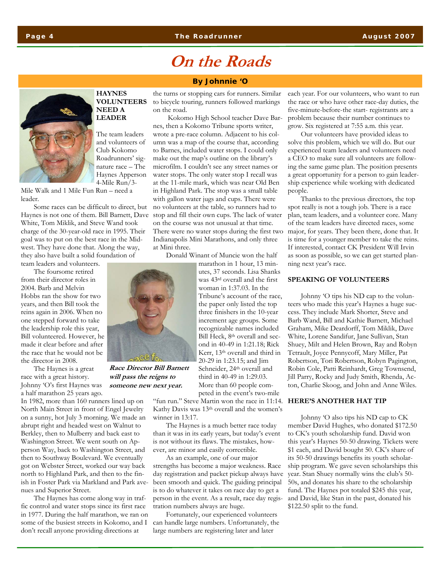## **On the Roads**

#### **By Johnnie 'O**

#### **HAYNES VOLUNTEERS NEED A LEADER**

The team leaders and volunteers of Club Kokomo Roadrunners' signature race – The Haynes Apperson 4-Mile Run/3-

Mile Walk and 1 Mile Fun Run – need a leader.

Some races can be difficult to direct, but Haynes is not one of them. Bill Barnett, Dave White, Tom Miklik, and Steve Wand took charge of the 30-year-old race in 1995. Their goal was to put on the best race in the Midwest. They have done that. Along the way, they also have built a solid foundation of team leaders and volunteers.

The foursome retired

from their director roles in 2004. Barb and Melvin Hobbs ran the show for two years, and then Bill took the reins again in 2006. When no one stepped forward to take the leadership role this year, Bill volunteered. However, he made it clear before and after the race that he would not be the director in 2008.

The Haynes is a great race with a great history. Johnny 'O's first Haynes was a half marathon 25 years ago.

In 1982, more than 160 runners lined up on North Main Street in front of Engel Jewelry on a sunny, hot July 3 morning. We made an abrupt right and headed west on Walnut to Berkley, then to Mulberry and back east to Washington Street. We went south on Apperson Way, back to Washington Street, and then to Southway Boulevard. We eventually got on Webster Street, worked our way back north to Highland Park, and then to the finish in Foster Park via Markland and Park avenues and Superior Street.

The Haynes has come along way in traffic control and water stops since its first race in 1977. During the half marathon, we ran on some of the busiest streets in Kokomo, and I don't recall anyone providing directions at

the turns or stopping cars for runners. Similar to bicycle touring, runners followed markings on the road.

 Kokomo High School teacher Dave Barnes, then a Kokomo Tribune sports writer, wrote a pre-race column. Adjacent to his column was a map of the course that, according to Barnes, included water stops. I could only make out the map's outline on the library's microfilm. I couldn't see any street names or water stops. The only water stop I recall was at the 11-mile mark, which was near Old Ben in Highland Park. The stop was a small table with gallon water jugs and cups. There were no volunteers at the table, so runners had to stop and fill their own cups. The lack of water on the course was not unusual at that time. There were no water stops during the first two Indianapolis Mini Marathons, and only three at Mini three.

Donald Winant of Muncie won the half

marathon in 1 hour, 13 minutes, 37 seconds. Lisa Shanks was 43rd overall and the first woman in 1:37.03. In the Tribune's account of the race, the paper only listed the top three finishers in the 10-year increment age groups. Some recognizable names included Bill Heck, 8th overall and second in 40-49 in 1:21.18; Rick Kerr, 13th overall and third in 20-29 in 1:23.15; and Jim Schneider, 24<sup>th</sup> overall and third in 40-49 in 1:29.03. More than 60 people competed in the event's two-mile

"fun run." Steve Martin won the race in 11:14. **HERE'S ANOTHER HAT TIP**  Kathy Davis was 13th overall and the women's winner in 13:17.

The Haynes is a much better race today than it was in its early years, but today's event is not without its flaws. The mistakes, however, are minor and easily correctible.

As an example, one of our major strengths has become a major weakness. Race day registration and packet pickup always have been smooth and quick. The guiding principal is to do whatever it takes on race day to get a person in the event. As a result, race day registration numbers always are huge.

Fortunately, our experienced volunteers can handle large numbers. Unfortunately, the large numbers are registering later and later

each year. For our volunteers, who want to run the race or who have other race-day duties, the five-minute-before-the start- registrants are a problem because their number continues to grow. Six registered at 7:55 a.m. this year.

Our volunteers have provided ideas to solve this problem, which we will do. But our experienced team leaders and volunteers need a CEO to make sure all volunteers are following the same game plan. The position presents a great opportunity for a person to gain leadership experience while working with dedicated people.

Thanks to the previous directors, the top spot really is not a tough job. There is a race plan, team leaders, and a volunteer core. Many of the team leaders have directed races, some major, for years. They been there, done that. It is time for a younger member to take the reins. If interested, contact CK President Will Irvin as soon as possible, so we can get started planning next year's race.

#### **SPEAKING OF VOLUNTEERS**

Johnny 'O tips his ND cap to the volunteers who made this year's Haynes a huge success. They include Mark Shorter, Steve and Barb Wand, Bill and Kathie Barnett, Michael Graham, Mike Deardorff, Tom Miklik, Dave White, Lorene Sandifur, Jane Sullivan, Stan Shuey, Milt and Helen Brown, Ray and Robyn Tetrault, Joyce Pennycoff, Mary Miller, Pat Robertson, Tori Robertson, Robyn Pagington, Robin Cole, Patti Reinhardt, Greg Townsend, Jill Parry, Rocky and Judy Smith, Rhenda, Acton, Charlie Skoog, and John and Anne Wiles.

Johnny 'O also tips his ND cap to CK member David Hughes, who donated \$172.50 to CK's youth scholarship fund. David won this year's Haynes 50-50 drawing. Tickets were \$1 each, and David bought 50. CK's share of its 50-50 drawings benefits its youth scholarship program. We gave seven scholarships this year. Stan Shuey normally wins the club's 50- 50s, and donates his share to the scholarship fund. The Haynes pot totaled \$245 this year, and David, like Stan in the past, donated his \$122.50 split to the fund.



**Race Director Bill Barnett will pass the reigns to someone new next year.**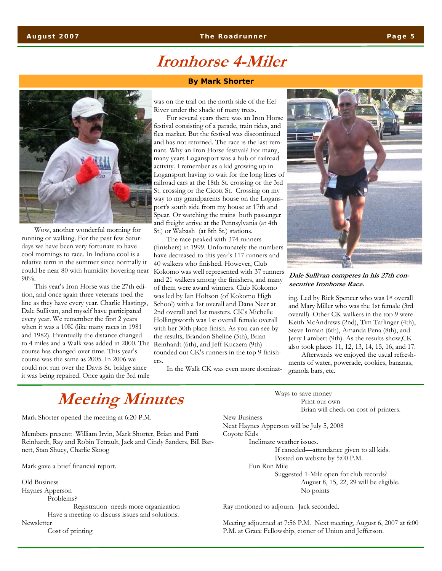### **Ironhorse 4-Miler**

Wow, another wonderful morning for running or walking. For the past few Saturdays we have been very fortunate to have cool mornings to race. In Indiana cool is a relative term in the summer since normally it could be near 80 with humidity hovering near 90%.

This year's Iron Horse was the 27th edition, and once again three veterans toed the line as they have every year. Charlie Hastings, Dale Sullivan, and myself have participated every year. We remember the first 2 years when it was a 10K (like many races in 1981 and 1982). Eventually the distance changed to 4 miles and a Walk was added in 2000. The course has changed over time. This year's course was the same as 2005. In 2006 we could not run over the Davis St. bridge since it was being repaired. Once again the 3rd mile

#### **By Mark Shorter**

was on the trail on the north side of the Eel River under the shade of many trees.

For several years there was an Iron Horse festival consisting of a parade, train rides, and flea market. But the festival was discontinued and has not returned. The race is the last remnant. Why an Iron Horse festival? For many, many years Logansport was a hub of railroad activity. I remember as a kid growing up in Logansport having to wait for the long lines of railroad cars at the 18th St. crossing or the 3rd St. crossing or the Cicott St. Crossing on my way to my grandparents house on the Logansport's south side from my house at 17th and Spear. Or watching the trains both passenger and freight arrive at the Pennsylvania (at 4th St.) or Wabash (at 8th St.) stations.

The race peaked with 374 runners (finishers) in 1999. Unfortunately the numbers have decreased to this year's 117 runners and 40 walkers who finished. However, Club Kokomo was well represented with 37 runners and 21 walkers among the finishers, and many of them were award winners. Club Kokomo was led by Ian Holtson (of Kokomo High School) with a 1st overall and Dana Neer at 2nd overall and 1st masters. CK's Michelle Hollingsworth was 1st overall female overall with her 30th place finish. As you can see by the results, Brandon Sheline (5th), Brian Reinhardt (6th), and Jeff Kuczera (9th) rounded out CK's runners in the top 9 finishers.

In the Walk CK was even more dominat-



**Dale Sullivan competes in his 27th consecutive Ironhorse Race.** 

ing. Led by Rick Spencer who was 1st overall and Mary Miller who was the 1st female (3rd overall). Other CK walkers in the top 9 were Keith McAndrews (2nd), Tim Taflinger (4th), Steve Inman (6th), Amanda Pena (8th), and Jerry Lambert (9th). As the results show,CK also took places 11, 12, 13, 14, 15, 16, and 17.

Afterwards we enjoyed the usual refreshments of water, powerade, cookies, bananas, granola bars, etc.

## **Meeting Minutes**

Mark Shorter opened the meeting at 6:20 P.M.

Members present: William Irvin, Mark Shorter, Brian and Patti Reinhardt, Ray and Robin Tetrault, Jack and Cindy Sanders, Bill Barnett, Stan Shuey, Charlie Skoog

Mark gave a brief financial report.

Old Business Haynes Apperson

Problems?

 Registration needs more organization Have a meeting to discuss issues and solutions.

Newsletter

Cost of printing

 Ways to save money Print our own Brian will check on cost of printers. New Business Next Haynes Apperson will be July 5, 2008 Coyote Kids Inclimate weather issues. If canceled—attendance given to all kids. Posted on website by 5:00 P.M. Fun Run Mile Suggested 1-Mile open for club records? August 8, 15, 22, 29 will be eligible. No points

Ray motioned to adjourn. Jack seconded.

Meeting adjourned at 7:56 P.M. Next meeting, August 6, 2007 at 6:00 P.M. at Grace Fellowship, corner of Union and Jefferson.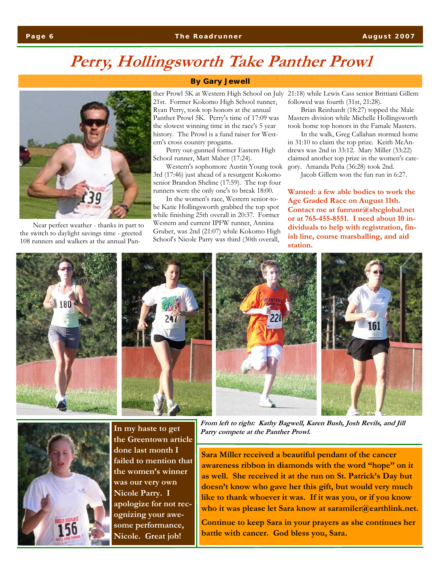## **Perry, Hollingsworth Take Panther Prowl**



Near perfect weather - thanks in part to the switch to daylight savings time - greeted 108 runners and walkers at the annual Pan-

### **By Gary Jewell**

ther Prowl 5K at Western High School on July 21st. Former Kokomo High School runner, Ryan Perry, took top honors at the annual Panther Prowl 5K. Perry's time of 17:09 was the slowest winning time in the race's 5 year history. The Prowl is a fund raiser for Western's cross country progams.

Perry out-gunned former Eastern High School runner, Matt Maher (17:24).

Western's sophomore Austin Young took 3rd (17:46) just ahead of a resurgent Kokomo senior Brandon Sheline (17:59). The top four runners were the only one's to break 18:00.

In the women's race, Western senior-tobe Katie Hollingsworth grabbed the top spot while finishing 25th overall in 20:37. Former Western and current IPFW runner, Annina Gruber, was 2nd (21:07) while Kokomo High School's Nicole Parry was third (30th overall,

21:18) while Lewis Cass senior Brittiani Gillem followed was fourth (31st, 21:28).

Brian Reinhardt (18:27) topped the Male Masters division while Michelle Hollingsworth took home top honors in the Famale Masters.

In the walk, Greg Callahan stormed home in 31:10 to claim the top prize. Keith McAndrews was 2nd in 33:12. Mary Miller (33:22) claimed another top prize in the women's category. Amanda Peña (36:28) took 2nd.

Jacob Gillem won the fun run in 6:27.

**Wanted: a few able bodies to work the Age Graded Race on August 11th. Contact me at funrunr@sbcglobal.net or at 765-455-8551. I need about 10 individuals to help with registration, finish line, course marshalling, and aid station.** 





**In my haste to get the Greentown article done last month I failed to mention that the women's winner was our very own Nicole Parry. I apologize for not recognizing your awesome performance, Nicole. Great job!** 

**From left to right: Kathy Bagwell, Karen Bush, Josh Revils, and Jill Parry compete at the Panther Prowl.** 

**Sara Miller received a beautiful pendant of the cancer awareness ribbon in diamonds with the word "hope" on it as well. She received it at the run on St. Patrick's Day but doesn't know who gave her this gift, but would very much like to thank whoever it was. If it was you, or if you know who it was please let Sara know at saramiler@earthlink.net.** 

**Continue to keep Sara in your prayers as she continues her battle with cancer. God bless you, Sara.**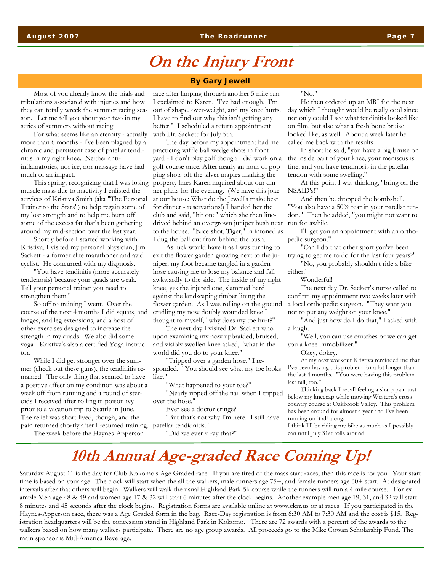### **On the Injury Front**

Most of you already know the trials and tribulations associated with injuries and how they can totally wreck the summer racing season. Let me tell you about year two in my series of summers without racing.

For what seems like an eternity - actually more than 6 months - I've been plagued by a chronic and persistent case of patellar tendinitis in my right knee. Neither antiinflamatories, nor ice, nor massage have had much of an impact.

This spring, recognizing that I was losing muscle mass due to inactivity I enlisted the services of Kristiva Smith (aka "The Personal Trainer to the Stars") to help regain some of my lost strength and to help me burn off some of the excess fat that's been gathering around my mid-section over the last year.

Shortly before I started working with Kristiva, I visited my personal physician, Jim Sackett - a former elite marathoner and avid cyclist. He concurred with my diagnosis.

"You have tendinitis (more accurately tendenosis) because your quads are weak. Tell your personal trainer you need to strengthen them."

So off to training I went. Over the course of the next 4 months I did squats, and lunges, and leg extensions, and a host of other exercises designed to increase the strength in my quads. We also did some yoga - Kristiva's also a certified Yoga instructor.

While I did get stronger over the summer (check out these guns), the tendinitis remained. The only thing that seemed to have a positive affect on my condition was about a week off from running and a round of steroids I received after rolling in poison ivy prior to a vacation trip to Seattle in June. The relief was short-lived, though, and the pain returned shortly after I resumed training.

The week before the Haynes-Apperson

#### **By Gary Jewell**

race after limping through another 5 mile run I exclaimed to Karen, "I've had enough. I'm out of shape, over-weight, and my knee hurts. I have to find out why this isn't getting any better." I scheduled a return appointment with Dr. Sackett for July 5th.

The day before my appointment had me practicing wiffle ball wedge shots in front yard - I don't play golf though I did work on a golf course once. After nearly an hour of popping shots off the silver maples marking the property lines Karen inquired about our dinner plans for the evening. (We have this joke at our house: What do the Jewell's make best for dinner - reservations!) I handed her the club and said, "hit one" which she then linedrived behind an overgrown juniper bush next to the house. "Nice shot, Tiger," in intoned as I dug the ball out from behind the bush.

As luck would have it as I was turning to exit the flower garden growing next to the juniper, my foot became tangled in a garden hose causing me to lose my balance and fall awkwardly to the side. The inside of my right knee, yes the injured one, slammed hard against the landscaping timber lining the flower garden. As I was rolling on the ground cradling my now doubly wounded knee I thought to myself, "why does my toe hurt?"

The next day I visited Dr. Sackett who upon examining my now upbraided, bruised, and visibly swollen knee asked, "what in the world did you do to your knee."

"Tripped over a garden hose," I responded. "You should see what my toe looks like."

"What happened to your toe?"

"Nearly ripped off the nail when I tripped over the hose."

Ever see a doctor cringe?

"But that's not why I'm here. I still have patellar tendidnitis."

"Did we ever x-ray that?"

#### "No."

He then ordered up an MRI for the next day which I thought would be really cool since not only could I see what tendinitis looked like on film, but also what a fresh bone bruise looked like, as well. About a week later he called me back with the results.

In short he said, "you have a big bruise on the inside part of your knee, your meniscus is fine, and you have tendinosis in the patellar tendon with some swelling."

At this point I was thinking, "bring on the NSAID's!"

And then he dropped the bombshell. "You also have a 50% tear in your patellar tendon." Then he added, "you might not want to run for awhile.

I'll get you an appointment with an orthopedic surgeon."

"Can I do that other sport you've been trying to get me to do for the last four years?"

"No, you probably shouldn't ride a bike either."

Wonderful!

The next day Dr. Sackett's nurse called to confirm my appointment two weeks later with a local orthopedic surgeon. "They want you not to put any weight on your knee."

"And just how do I do that," I asked with a laugh.

"Well, you can use crutches or we can get you a knee immobilizer."

Okey, dokey.

At my next workout Kristiva reminded me that I've been having this problem for a lot longer than the last 4 months. "You were having this problem last fall, too."

Thinking back I recall feeling a sharp pain just below my kneecap while mowing Western's cross country course at Oakbrook Valley. This problem has been around for almost a year and I've been running on it all along.

I think I'll be riding my bike as much as I possibly can until July 31st rolls around.

### **10th Annual Age-graded Race Coming Up!**

Saturday August 11 is the day for Club Kokomo's Age Graded race. If you are tired of the mass start races, then this race is for you. Your start time is based on your age. The clock will start when the all the walkers, male runners age 75+, and female runners age 60+ start. At designated intervals after that others will begin. Walkers will walk the usual Highland Park 5k course while the runners will run a 4 mile course. For example Men age 48 & 49 and women age 17 & 32 will start 6 minutes after the clock begins. Another example men age 19, 31, and 32 will start 8 minutes and 45 seconds after the clock begins. Registration forms are available online at www.ckrr.us or at races. If you participated in the Haynes-Apperson race, there was a Age Graded form in the bag. Race-Day registration is from 6:30 AM to 7:30 AM and the cost is \$15. Registration headquarters will be the concession stand in Highland Park in Kokomo. There are 72 awards with a percent of the awards to the walkers based on how many walkers participate. There are no age group awards. All proceeds go to the Mike Cowan Scholarship Fund. The main sponsor is Mid-America Beverage.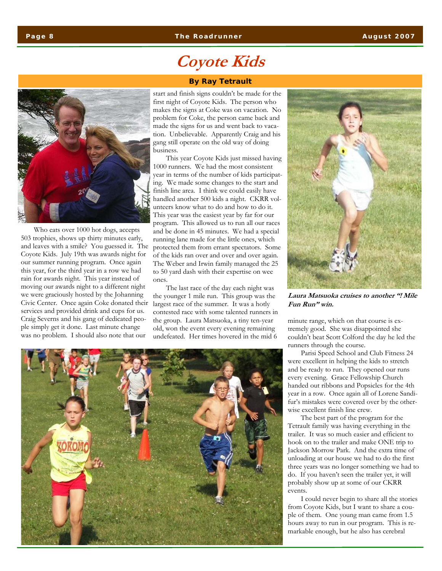### **Coyote Kids**

#### **By Ray Tetrault**



Who eats over 1000 hot dogs, accepts 503 trophies, shows up thirty minutes early, and leaves with a smile? You guessed it. The Coyote Kids. July 19th was awards night for our summer running program. Once again this year, for the third year in a row we had rain for awards night. This year instead of moving our awards night to a different night we were graciously hosted by the Johanning Civic Center. Once again Coke donated their services and provided drink and cups for us. Craig Severns and his gang of dedicated people simply get it done. Last minute change was no problem. I should also note that our

#### start and finish signs couldn't be made for the first night of Coyote Kids. The person who makes the signs at Coke was on vacation. No problem for Coke, the person came back and made the signs for us and went back to vacation. Unbelievable. Apparently Craig and his gang still operate on the old way of doing business.

This year Coyote Kids just missed having 1000 runners. We had the most consistent year in terms of the number of kids participating. We made some changes to the start and finish line area. I think we could easily have handled another 500 kids a night. CKRR volunteers know what to do and how to do it. This year was the easiest year by far for our program. This allowed us to run all our races and be done in 45 minutes. We had a special running lane made for the little ones, which protected them from errant spectators. Some of the kids ran over and over and over again. The Weber and Irwin family managed the 25 to 50 yard dash with their expertise on wee ones.

The last race of the day each night was the younger 1 mile run. This group was the largest race of the summer. It was a hotly contested race with some talented runners in the group. Laura Matsuoka, a tiny ten-year old, won the event every evening remaining undefeated. Her times hovered in the mid 6



**Laura Matsuoka cruises to another "! Mile Fun Run" win.** 

minute range, which on that course is extremely good. She was disappointed she couldn't beat Scott Colford the day he led the runners through the course.

Parisi Speed School and Club Fitness 24 were excellent in helping the kids to stretch and be ready to run. They opened our runs every evening. Grace Fellowship Church handed out ribbons and Popsicles for the 4th year in a row. Once again all of Lorene Sandifur's mistakes were covered over by the otherwise excellent finish line crew.

The best part of the program for the Tetrault family was having everything in the trailer. It was so much easier and efficient to hook on to the trailer and make ONE trip to Jackson Morrow Park. And the extra time of unloading at our house we had to do the first three years was no longer something we had to do. If you haven't seen the trailer yet, it will probably show up at some of our CKRR events.

I could never begin to share all the stories from Coyote Kids, but I want to share a couple of them. One young man came from 1.5 hours away to run in our program. This is remarkable enough, but he also has cerebral

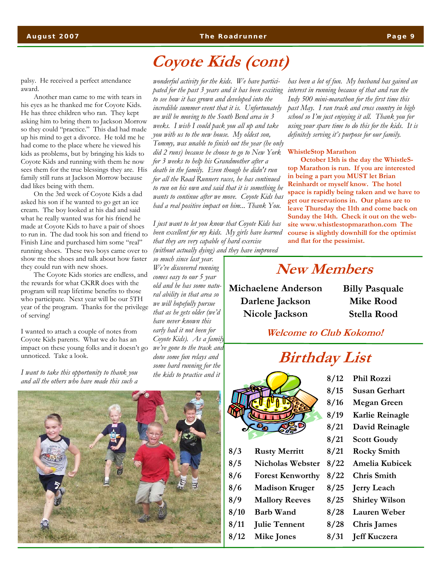**August 2007 The Roadrunner Page 9** 

### **Coyote Kids (cont)**

palsy. He received a perfect attendance award.

Another man came to me with tears in his eyes as he thanked me for Coyote Kids. He has three children who ran. They kept asking him to bring them to Jackson Morrow so they could "practice." This dad had made up his mind to get a divorce. He told me he had come to the place where he viewed his kids as problems, but by bringing his kids to Coyote Kids and running with them he now sees them for the true blessings they are. His family still runs at Jackson Morrow because dad likes being with them.

On the 3rd week of Coyote Kids a dad asked his son if he wanted to go get an ice cream. The boy looked at his dad and said what he really wanted was for his friend he made at Coyote Kids to have a pair of shoes to run in. The dad took his son and friend to Finish Line and purchased him some "real" running shoes. These two boys came over to show me the shoes and talk about how faster they could run with new shoes.

The Coyote Kids stories are endless, and the rewards for what CKRR does with the program will reap lifetime benefits to those who participate. Next year will be our 5TH year of the program. Thanks for the privilege of serving!

I wanted to attach a couple of notes from Coyote Kids parents. What we do has an impact on these young folks and it doesn't go unnoticed. Take a look.

*I want to take this opportunity to thank you and all the others who have made this such a* 

*wonderful activity for the kids. We have participated for the past 3 years and it has been exciting to see how it has grown and developed into the incredible summer event that it is. Unfortunately we will be moving to the South Bend area in 3 weeks. I wish I could pack you all up and take you with us to the new house. My oldest son, Tommy, was unable to finish out the year (he only did 2 runs) because he choose to go to New York for 3 weeks to help his Grandmother after a death in the family. Even though he didn't run for all the Road Runners races, he has continued to run on his own and said that it is something he wants to continue after we move. Coyote Kids has had a real positive impact on him... Thank You.* 

*I just want to let you know that Coyote Kids has been excellent for my kids. My girls have learned that they are very capable of hard exercise (without actually dying) and they have improved* 

*so much since last year. We've discovered running comes easy to our 5 year old and he has some natural ability in that area so we will hopefully pursue that as he gets older (we'd have never known this early had it not been for Coyote Kids). As a family we've gone to the track and done some fun relays and some hard running for the the kids to practice and it* 



#### **WhistleStop Marathon**

**October 13th is the day the WhistleStop Marathon is run. If you are interested in being a part you MUST let Brian Reinhardt or myself know. The hotel space is rapidly being taken and we have to get our reservations in. Our plans are to leave Thursday the 11th and come back on Sunday the 14th. Check it out on the website www.whistlestopmarathon.com The course is slightly downhill for the optimist and flat for the pessimist.** 

### **New Members**

**Michaelene Anderson Darlene Jackson Nicole Jackson** 

**Billy Pasquale Mike Rood Stella Rood** 

**Welcome to Club Kokomo!** 

### **Birthday List**



- **8/3 Rusty Merritt**
- **8/5 Nicholas Webster**
- **8/6 Forest Kenworthy**
- **8/6 Madison Kruger**
- **8/9 Mallory Reeves**
- **8/10 Barb Wand**
- **8/11 Julie Tennent**
- 
- **8/12 Mike Jones**
- **8/12 Phil Rozzi**
- **8/15 Susan Gerhart**
- **8/16 Megan Green**
- **8/19 Karlie Reinagle** 
	-
- **8/21 David Reinagle**
- **8/21 Scott Goudy**
- **8/21 Rocky Smith**
- **8/22 Amelia Kubicek**
- **8/22 Chris Smith**
- **8/25 Jerry Leach**
- **8/25 Shirley Wilson**
- **8/28 Lauren Weber**
- **8/28 Chris James**
- **8/31 Jeff Kuczera**

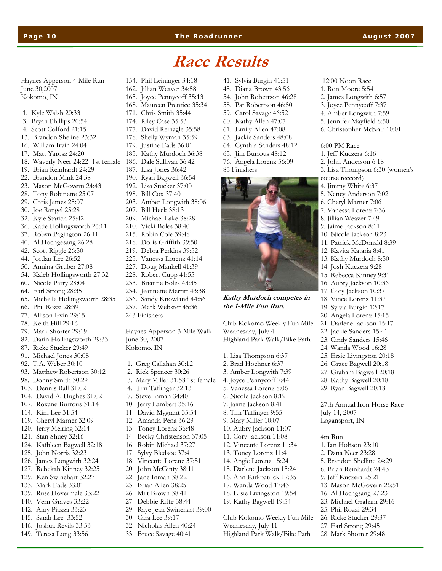#### **Page 10 The Roadrunner August 2007**

 12:00 Noon Race 1. Ron Moore 5:54 2. James Longwith 6:57 3. Joyce Pennycoff 7:37 4. Amber Longwith 7:59 5. Jennifer Mayfield 8:50 6. Christopher McNair 10:01

6:00 PM Race 1. Jeff Kuczera 6:16 2. John Anderson 6:18

course reccord) 4. Jimmy White 6:37 5. Nancy Anderson 7:02 6. Cheryl Marner 7:06 7. Vanessa Lorenz 7:36 8. Jillian Weaver 7:49 9. Jaime Jackson 8:11 10. Nicole Jackson 8:23 11. Patrick McDonald 8:39 12. Kavita Kataria 8:41 13. Kathy Murdoch 8:50 14. Josh Kuczera 9:28 15. Rebecca Kinney 9:31 16. Aubry Jackson 10:36 17. Cory Jackson 10:37 18. Vince Lorenz 11:37 19. Sylvia Burgin 12:17 20. Angela Lorenz 15:15 21. Darlene Jackson 15:17 22. Jackie Sanders 15:41 23. Cindy Sanders 15:46 24. Wanda Wood 16:28 25. Ersie Livingston 20:18 26. Grace Bagwell 20:18 27. Graham Bagwell 20:18 28. Kathy Bagwell 20:18 29. Ryan Bagwell 20:18

3. Lisa Thompson 6:30 (women's

27th Annual Iron Horse Race

July 14, 2007 Logansport, IN

1. Ian Holtson 23:10 2. Dana Neer 23:28 5. Brandon Shelline 24:29 6. Brian Reinhardt 24:43 9. Jeff Kuczera 25:21 13. Mason McGovern 26:51 16. Al Hochgsang 27:23 23. Michael Graham 29:16 25. Phil Rozzi 29:34 26. Ricke Stucker 29:37 27. Earl Strong 29:45 28. Mark Shorter 29:48

4m Run

### **Race Results**

Haynes Apperson 4-Mile Run June 30,2007 Kokomo, IN

- 1. Kyle Walsh 20:33
- 3. Bryan Phillips 20:54
- 4. Scott Colford 21:15
- 13. Brandon Sheline 23:32
- 16. William Irvin 24:04
- 17. Matt Yarosz 24:20
- 18. Waverly Neer 24:22 1st female 186. Dale Sullivan 36:42
- 19. Brian Reinhardt 24:29
- 22. Brandon Mink 24:38
- 23. Mason McGovern 24:43
- 28. Tony Robinette 25:07
- 29. Chris James 25:07
- 30. Joe Rangel 25:28
- 32. Kyle Starich 25:42
- 36. Katie Hollingsworth 26:11
- 37. Robyn Pagington 26:11
- 40. Al Hochgesang 26:28
- 42. Scott Riggle 26:50
- 44. Jordan Lee 26:52
- 50. Annina Gruber 27:08
- 54. Kaleb Hollingsworth 27:32
- 60. Nicole Parry 28:04
- 64. Earl Strong 28:35
- 65. Michelle Hollingsworth 28:35
- 66. Phil Rozzi 28:39
- 77. Allison Irvin 29:15
- 78. Keith Hill 29:16
- 79. Mark Shorter 29:19
- 82. Darin Hollingsworth 29:33
- 87. Ricke Stucker 29:49
- 91. Michael Jones 30:08
- 92. T.A. Weber 30:10
- 93. Matthew Robertson 30:12
- 98. Donny Smith 30:29
- 103. Dennis Ball 31:02
- 104. David A. Hughes 31:02
- 107. Roxane Burrous 31:14
- 114. Kim Lee 31:54
- 119. Cheryl Marner 32:09
- 120. Jerry Meiring 32:14
- 121. Stan Shuey 32:16
- 124. Kathleen Bagwell 32:18
- 125. John Norris 32:23
- 126. James Longwith 32:24
- 127. Rebekah Kinney 32:25
- 129. Ken Swinehart 32:27
- 133. Mark Eads 33:01
- 139. Russ Hovermale 33:22
- 140. Vern Graves 33:22
- 142. Amy Piazza 33:23
- 145. Sarah Lee 33:52
- 146. Joshua Revils 33:53
- 149. Teresa Long 33:56

177. David Reinagle 35:58 178. Shelly Wyman 35:59 179. Justine Eads 36:01 185. Kathy Murdoch 36:38 187. Lisa Jones 36:42 190. Ryan Bagwell 36:54 192. Lisa Stucker 37:00 198. Bill Cox 37:40 203. Amber Longwith 38:06 207. Bill Heck 38:13 209. Michael Lake 38:28 210. Vicki Boles 38:40 215. Robin Cole 39:48 218. Doris Griffith 39:50

154. Phil Leininger 34:18 162. Jillian Weaver 34:58 165. Joyce Pennycoff 35:13 168. Maureen Prentice 35:34 171. Chris Smith 35:44 174. Riley Case 35:53

- 219. Debra Perkins 39:52 225. Vanessa Lorenz 41:14
- 227. Doug Mankell 41:39
- 228. Robert Cupp 41:55
- 233. Brianne Boles 43:35
- 234. Jeannette Merritt 43:38
- 236. Sandy Knowland 44:56
- 237. Mark Webster 45:36
- 243 Finishers

Haynes Apperson 3-Mile Walk June 30, 2007 Kokomo, IN

- 1. Greg Callahan 30:12
- 2. Rick Spencer 30:26
- 3. Mary Miller 31:58 1st female
- 4. Tim Taflinger 32:13
- 7. Steve Inman 34:40
- 10. Jerry Lambert 35:16
- 11. David Mygrant 35:54
- 12. Amanda Pena 36:29
- 13. Toney Lorenz 36:48
- 14. Becky Christenson 37:05
- 16. Robin Michael 37:27
- 17. Sylvy Bledsoe 37:41
- 18. Vincente Lorenz 37:51
- 20. John McGinty 38:11
- 22. Jane Inman 38:22
- 23. Brian Allen 38:25
- 26. Milt Brown 38:41 27. Debbie Riffe 38:44
- 29. Raye Jean Swinehart 39:00
- 30. Cara Lee 39:17
- 32. Nicholas Allen 40:24
- 33. Bruce Savage 40:41
- 
- 41. Sylvia Burgin 41:51
- 45. Diana Brown 43:56
- 54. John Robertson 46:28
- 58. Pat Robertson 46:50
- 59. Carol Savage 46:52
- 60. Kathy Allen 47:07
- 61. Emily Allen 47:08
- 63. Jackie Sanders 48:08
- 64. Cynthia Sanders 48:12
- 65. Jim Burrous 48:12 76. Angela Lorenz 56:09

Club Kokomo Weekly Fun Mile

**Kathy Murdoch competes in** 

Highland Park Walk/Bike Path

Club Kokomo Weekly Fun Mile

Highland Park Walk/Bike Path

Wednesday, July 11

Wednesday, July 4

**the 1-Mile Fun Run.** 

1. Lisa Thompson 6:37 2. Brad Hoehner 6:37 3. Amber Longwith 7:39 4. Joyce Pennycoff 7:44 5. Vanessa Lorenz 8:06 6. Nicole Jackson 8:19 7. Jaime Jackson 8:41 8. Tim Taflinger 9:55 9. Mary Miller 10:07 10. Aubry Jackson 11:07 11. Cory Jackson 11:08 12. Vincente Lorenz 11:34 13. Toney Lorenz 11:41 14. Angie Lorenz 15:24 15. Darlene Jackson 15:24 16. Ann Kirkpatrick 17:35 17. Wanda Wood 17:43 18. Ersie Livingston 19:54 19. Kathy Bagwell 19:54

85 Finishers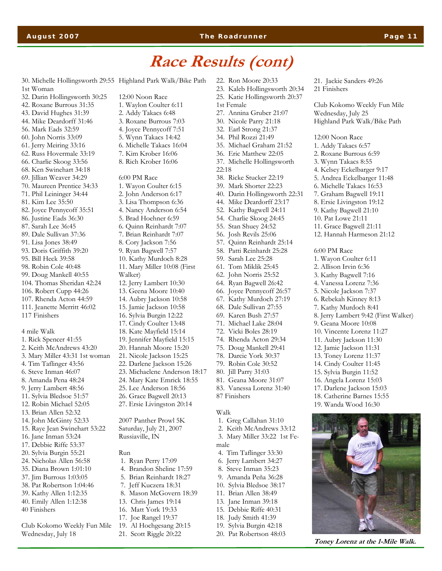### **August 2007 The Roadrunner Page 11**

### **Race Results (cont)**

30. Michelle Hollingsworth 29:55 Highland Park Walk/Bike Path 1st Woman 32. Darin Hollingsworth 30:25 42. Roxane Burrous 31:35 43. David Hughes 31:39 44. Mike Deardorff 31:46 56. Mark Eads 32:59 60. John Norris 33:09 61. Jerry Meiring 33:16 62. Russ Hovermale 33:19 66. Charlie Skoog 33:56 68. Ken Swinehart 34:18 69. Jillian Weaver 34:29 70. Maureen Prentice 34:33 71. Phil Leininger 34:44 81. Kim Lee 35:50 82. Joyce Pennycoff 35:51 86. Justine Eads 36:30 87. Sarah Lee 36:45 89. Dale Sullivan 37:36 91. Lisa Jones 38:49 93. Doris Griffith 39:20 95. Bill Heck 39:58 98. Robin Cole 40:48 99. Doug Mankell 40:55 104. Thomas Sheridan 42:24 106. Robert Cupp 44:26 107. Rhenda Acton 44:59 111. Jeanette Merritt 46:02 117 Finishers 4 mile Walk 1. Rick Spencer 41:55 2. Keith McAndrews 43:20 3. Mary Miller 43:31 1st woman 4. Tim Taflinger 43:56 6. Steve Inman 46:07 8. Amanda Pena 48:24 9. Jerry Lambert 48:56 11. Sylvia Bledsoe 51:57 12. Robin Michael 52:05 13. Brian Allen 52:32 14. John McGinty 52:33 15. Raye Jean Swinehart 53:22 16. Jane Inman 53:24 17. Debbie Riffe 53:37 20. Sylvia Burgin 55:21 24. Nicholas Allen 56:58 35. Diana Brown 1:01:10 37. Jim Burrous 1:03:05 38. Pat Robertson 1:04:46 39. Kathy Allen 1:12:35 40. Emily Allen 1:12:38 12:00 Noon Race 4. Joyce Pennycoff 7:51 5. Wynn Takacs 14:42 6. Michelle Takacs 16:04 6:00 PM Race 3. Lisa Thompson 6:36 4. Nancy Anderson 6:54 5. Brad Hoehner 6:59 6. Quinn Reinhardt 7:07 7. Brian Reinhardt 7:07 8. Cory Jackson 7:56 9. Ryan Bagwell 7:57 10. Kathy Murdoch 8:28 11. Mary Miller 10:08 (First Walker) 12. Jerry Lambert 10:30 13. Geena Moore 10:40 14. Aubry Jackson 10:58 15. Jamie Jackson 10:58 16. Sylvia Burgin 12:22 17. Cindy Coulter 13:48 21. Nicole Jackson 15:25 22. Darlene Jackson 15:26 23. Michaelene Anderson 18:17 24. Mary Kate Emrick 18:55 25. Lee Anderson 18:56 26. Grace Bagwell 20:13 27. Ersie Livingston 20:14 Russiaville, IN Run 1. Ryan Perry 17:09 7. Jeff Kuczera 18:31

- 
- 40 Finishers

Club Kokomo Weekly Fun Mile Wednesday, July 18

- 1. Waylon Coulter 6:11 2. Addy Takacs 6:48 3. Roxane Burrous 7:03
- 
- 
- 
- 7. Kim Krober 16:06
- 8. Rich Krober 16:06
- 1. Wayon Coulter 6:15
- 2. John Anderson 6:17
- 
- 
- 
- 
- 
- 
- 
- -
- 
- 
- 
- 
- 
- 
- 18. Kate Mayfield 15:14
- 19. Jennifer Mayfield 15:15
- 20. Hannah Moore 15:20
- 
- 
- 
- 
- 
- 

2007 Panther Prowl 5K Saturday, July 21, 2007

- 4. Brandon Sheline 17:59
- 5. Brian Reinhardt 18:27
- 
- 8. Mason McGovern 18:39
- 13. Chris James 19:14
- 16. Matt York 19:33
- 17. Joe Rangel 19:37
- 19. Al Hochgesang 20:15
- 21. Scott Riggle 20:22
- 22. Ron Moore 20:33
- 23. Kaleb Hollingsworth 20:34

21. Jackie Sanders 49:26

Wednesday, July 25

12:00 Noon Race 1. Addy Takacs 6:57 2. Roxane Burrous 6:59 3. Wynn Takacs 8:55 4. Kelsey Eckelbarger 9:17 5. Andrea Eckelbarger 11:48 6. Michelle Takacs 16:53 7. Graham Bagwell 19:11 8. Ersie Livingston 19:12 9. Kathy Bagwell 21:10 10. Pat Lowe 21:11 11. Grace Bagwell 21:11 12. Hannah Harmeson 21:12

6:00 PM Race 1. Wayon Coulter 6:11 2. Allison Irvin 6:36 3. Kathy Bagwell 7:16 4. Vanessa Lorenz 7:36 5. Nicole Jackson 7:37 6. Rebekah Kinney 8:13 7. Kathy Murdoch 8:41

8. Jerry Lambert 9:42 (First Walker)

**Toney Lorenz at the 1-Mile Walk.** 

9. Geana Moore 10:08 10. Vincente Lorenz 11:27 11. Aubry Jackson 11:30 12. Jamie Jackson 11:31 13. Toney Lorenz 11:37 14. Cindy Coulter 11:45 15. Sylvia Burgin 11:52 16. Angela Lorenz 15:03 17. Darlene Jackson 15:03 18. Catherine Barnes 15:55 19. Wanda Wood 16:30

Club Kokomo Weekly Fun Mile

Highland Park Walk/Bike Path

21 Finishers

- 25. Katie Hollingsworth 20:37
- 1st Female
- 27. Annina Gruber 21:07
- 30. Nicole Parry 21:18
- 32. Earl Strong 21:37
- 34. Phil Rozzi 21:49
- 35. Michael Graham 21:52
- 36. Eric Matthew 22:05
- 37. Michelle Hollingsworth
- 22:18
- 38. Ricke Stucker 22:19
- 39. Mark Shorter 22:23
- 40. Darin Hollingsworth 22:31
- 
- 44. Mike Deardorff 23:17
- 52. Kathy Bagwell 24:11
- 54. Charlie Skoog 24:45
- 55. Stan Shuey 24:52
- 56. Josh Revils 25:06
- 57. Quinn Reinhardt 25:14
- 58. Patti Reinhardt 25:28
- 59. Sarah Lee 25:28
- 61. Tom Miklik 25:45
- 62. John Norris 25:52
- 64. Ryan Bagwell 26:42
- 66. Joyce Pennycoff 26:57
- 67. Kathy Murdoch 27:19
- 68. Dale Sullivan 27:55
- 69. Karen Bush 27:57
- 71. Michael Lake 28:04
- 72. Vicki Boles 28:19
- 74. Rhenda Acton 29:34
- 75. Doug Mankell 29:41
- 78. Darcie York 30:37
- 79. Robin Cole 30:52
- 80. Jill Parry 31:03
- 81. Geana Moore 31:07
- 83. Vanessa Lorenz 31:40
- 87 Finishers

#### Walk

- 1. Greg Callahan 31:10
- 2. Keith McAndrews 33:12
- 3. Mary Miller 33:22 1st Female
- 4. Tim Taflinger 33:30
- 6. Jerry Lambert 34:27 8. Steve Inman 35:23

 9. Amanda Peña 36:28 10. Sylvia Bledsoe 38:17 11. Brian Allen 38:49 13. Jane Inman 39:18 15. Debbie Riffe 40:31 18. Judy Smith 41:39 19. Sylvia Burgin 42:18 20. Pat Robertson 48:03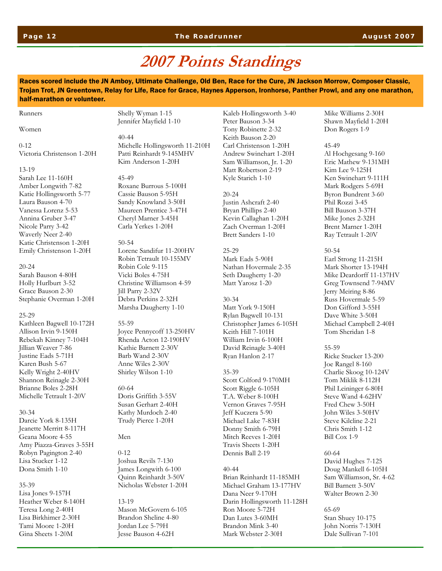### **2007 Points Standings**

Races scored include the JN Amboy, Ultimate Challenge, Old Ben, Race for the Cure, JN Jackson Morrow, Composer Classic, Trojan Trot, JN Greentown, Relay for Life, Race for Grace, Haynes Apperson, Ironhorse, Panther Prowl, and any one marathon, half-marathon or volunteer.

#### Runners

Women

 $0 - 12$ Victoria Christenson 1-20H

#### 13-19

Sarah Lee 11-160H Amber Longwith 7-82 Katie Hollingsworth 5-77 Laura Bauson 4-70 Vanessa Lorenz 5-53 Annina Gruber 3-47 Nicole Parry 3-42 Waverly Neer 2-40 Katie Christenson 1-20H Emily Christenson 1-20H

#### 20-24 Sarah Bauson 4-80H Holly Hurlburt 3-52 Grace Bauson 2-30 Stephanie Overman 1-20H

25-29 Kathleen Bagwell 10-172H Allison Irvin 9-150H Rebekah Kinney 7-104H Jillian Weaver 7-86 Justine Eads 5-71H Karen Bush 5-67 Kelly Wright 2-40HV Shannon Reinagle 2-30H Brianne Boles 2-28H Michelle Tetrault 1-20V

#### 30-34

Darcie York 8-135H Jeanette Merritt 8-117H Geana Moore 4-55 Amy Piazza-Graves 3-55H Robyn Pagington 2-40 Lisa Stucker 1-12 Dona Smith 1-10

#### 35-39

Lisa Jones 9-157H Heather Weber 8-140H Teresa Long 2-40H Lisa Birkhimer 2-30H Tami Moore 1-20H Gina Sheets 1-20M

Shelly Wyman 1-15 Jennifer Mayfield 1-10

40-44 Michelle Hollingsworth 11-210H Patti Reinhardt 9-145MHV Kim Anderson 1-20H

#### 45-49

Roxane Burrous 5-100H Cassie Bauson 5-95H Sandy Knowland 3-50H Maureen Prentice 3-47H Cheryl Marner 3-45H Carla Yerkes 1-20H

#### 50-54

Lorene Sandifur 11-200HV Robin Tetrault 10-155MV Robin Cole 9-115 Vicki Boles 4-75H Christine Williamson 4-59 Jill Parry 2-32V Debra Perkins 2-32H Marsha Daugherty 1-10

#### 55-59

Joyce Pennycoff 13-250HV Rhenda Acton 12-190HV Kathie Barnett 2-30V Barb Wand 2-30V Anne Wiles 2-30V Shirley Wilson 1-10

### 60-64 Doris Griffith 3-55V Susan Gerhart 2-40H Kathy Murdoch 2-40 Trudy Pierce 1-20H

#### Men

0-12 Joshua Revils 7-130 James Longwith 6-100 Quinn Reinhardt 3-50V Nicholas Webster 1-20H

13-19 Mason McGovern 6-105 Brandon Sheline 4-80 Jordan Lee 5-79H Jesse Bauson 4-62H

Kaleb Hollingsworth 3-40 Peter Bauson 3-34 Tony Robinette 2-32 Keith Bauson 2-20 Carl Christenson 1-20H Andrew Swinehart 1-20H Sam Williamson, Jr. 1-20 Matt Robertson 2-19 Kyle Starich 1-10

#### 20-24

Justin Ashcraft 2-40 Bryan Phillips 2-40 Kevin Callaghan 1-20H Zach Overman 1-20H Brett Sanders 1-10

25-29 Mark Eads 5-90H Nathan Hovermale 2-35 Seth Daugherty 1-20 Matt Yarosz 1-20

#### 30-34 Matt York 9-150H Rylan Bagwell 10-131 Christopher James 6-105H Keith Hill 7-101H William Irvin 6-100H David Reinagle 3-40H Ryan Hanlon 2-17

#### 35-39

Scott Colford 9-170MH Scott Riggle 6-105H T.A. Weber 8-100H Vernon Graves 7-95H Jeff Kuczera 5-90 Michael Lake 7-83H Donny Smith 6-79H Mitch Reeves 1-20H Travis Sheets 1-20H Dennis Ball 2-19

#### 40-44

Brian Reinhardt 11-185MH Michael Graham 13-177HV Dana Neer 9-170H Darin Hollingsworth 11-128H Ron Moore 5-72H Dan Lutes 3-60MH Brandon Mink 3-40 Mark Webster 2-30H

Mike Williams 2-30H Shawn Mayfield 1-20H Don Rogers 1-9

### 45-49

Al Hochgesang 9-160 Eric Mathew 9-131MH Kim Lee 9-125H Ken Swinehart 9-111H Mark Rodgers 5-69H Byron Bundrent 3-60 Phil Rozzi 3-45 Bill Bauson 3-37H Mike Jones 2-32H Brent Marner 1-20H Ray Tetrault 1-20V

50-54 Earl Strong 11-215H Mark Shorter 13-194H Mike Deardorff 11-137HV Greg Townsend 7-94MV Jerry Meiring 8-86 Russ Hovermale 5-59 Don Gifford 3-55H Dave White 3-50H Michael Campbell 2-40H Tom Sheridan 1-8

#### 55-59

Ricke Stucker 13-200 Joe Rangel 8-160 Charlie Skoog 10-124V Tom Miklik 8-112H Phil Leininger 6-80H Steve Wand 4-62HV Fred Chew 3-50H John Wiles 3-50HV Steve Kilcline 2-21 Chris Smith 1-12 Bill Cox 1-9

60-64 David Hughes 7-125 Doug Mankell 6-105H Sam Williamson, Sr. 4-62 Bill Barnett 3-50V Walter Brown 2-30

65-69 Stan Shuey 10-175 John Norris 7-130H Dale Sullivan 7-101